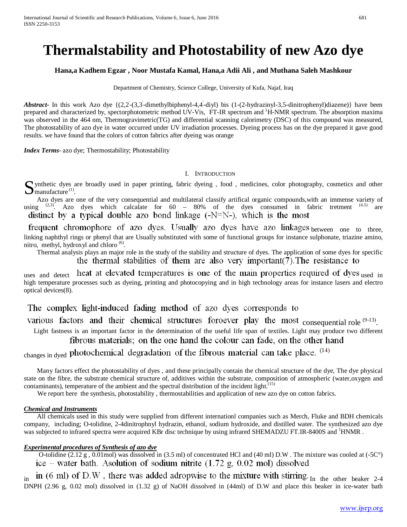# **Thermalstability and Photostability of new Azo dye**

## **Hana,a Kadhem Egzar , Noor Mustafa Kamal, Hana,a Adii Ali , and Muthana Saleh Mashkour**

Department of Chemistry, Science College, University of Kufa, Najaf, Iraq

Abstract In this work Azo dye {(2,2-(3,3-dimethylbiphenyl-4,4-diyl) bis (1-(2-hydrazinyl-3,5-dinitrophenyl)diazene)} have been prepared and characterized by, spectorphotometric method UV-Vis, FT-IR spectrum and <sup>1</sup>H-NMR spectrum. The absorption maxima was observed in the 464 nm, Thermogravimetric(TG) and differential scanning calorimetry (DSC) of this compound was measured, The photostability of azo dye in water occurred under UV irradiation processes. Dyeing process has on the dye prepared it gave good results. we have found that the colors of cotton fabrics after dyeing was orange

*Index Terms*- azo dye; Thermostability; Photostability

#### I. INTRODUCTION

If ynthetic dyes are broadly used in paper printing, fabric dyeing, food, medicines, color photography, cosmetics and other  $S$  ynthetic dyes a manufacture<sup>(1)</sup>.

Azo dyes are one of the very consequential and multilateral classify artifical organic compounds, with an immense variety of  $\sigma$  (2.3) Azo dyes which calcalate for 60 – 80% of the dyes consumed in fabric tretment (4.5) a using  $(2,3)$ . Azo dyes which calcalate for 60 – 80% of the dyes consumed in fabric tretment distinct by a typical double azo bond linkage  $(-N=N-)$ , which is the most

frequent chromophore of azo dyes. Usually azo dyes have azo linkages between one to three, linking naphthyl rings or phenyl that are Usually substituted with some of functional groups for instance sulphonate, triazine amino, nitro, methyl, hydroxyl and chloro  $^{(6)}$ .

 Thermal analysis plays an major role in the study of the stability and structure of dyes. The application of some dyes for specific the thermal stabilities of them are also very important  $(7)$ . The resistance to

uses and detect heat at elevated temperatures is one of the main properties required of dyes used in high temperature processes such as dyeing, printing and photocopying and in high technology areas for instance lasers and electro optical devices(8).

The complex light-induced fading method of azo dyes corresponds to

consequential role <sup>(9-13)</sup>

Light fastness is an important factor in the determination of the useful life span of textiles. Light may produce two different fibrous materials; on the one hand the colour can fade, on the other hand

changes in dyed photochemical degradation of the fibrous material can take place.  $(14)$ 

 Many factors effect the photostability of dyes , and these principally contain the chemical structure of the dye, The dye physical state on the fibre, the substrate chemical structure of, additives within the substrate, composition of atmospheric (water,oxygen and contaminants), temperature of the ambient and the spectral distribution of the incident light.<sup>[15)</sup>

We report here the synthesis, photostability, thermostabilities and application of new azo dye on cotton fabrics.

## *<sup>U</sup>Chemical and Instruments*

 All chemicals used in this study were supplied from different internationl companies such as Merch, Fluke and BDH chemicals company, including; O-tolidine, 2-4dinitrophnyl hydrazin, ethanol, sodium hydroxide, and distilled water. The synthesized azo dye was subjected to infrared spectra were acquired KBr disc technique by using infrared SHEMADZU FT.IR-8400S and <sup>1</sup>HNMR.

## *Experimental procedures of Synthesis of azo dye*

O-tolidine  $(2.12 \text{ g}, 0.01 \text{ mol})$  was dissolved in  $(3.5 \text{ ml})$  of concentrated HCl and  $(40 \text{ ml})$  D.W. The mixture was cooled at  $(-5C^{\circ})$ ice – water bath. Asolution of sodium nitrite  $(1.72 \text{ g}, 0.02 \text{ mol})$  dissolved

in  $(6 \text{ ml})$  of D.W, there was added adropwise to the mixture with stirring. In the other beaker 2-4 DNPH (2.96 g, 0.02 mol) dissolved in (1.32 g) of NaOH dissolved in (44ml) of D.W and place this beaker in ice-water bath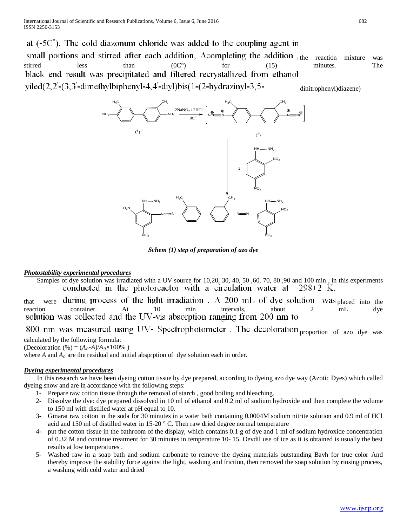at  $(-5C^{\circ})$ . The cold diazonum chloride was added to the coupling agent in small portions and stirred after each addition, Acompleting the addition, the reaction mixture was stirred less than  $(0C^{\circ})$  for  $(15)$  minutes. The black end result was precipitated and filtered recrystallized from ethanol  $yield(2, 2-(3, 3'-dimethylbiphenyl-4, 4'-divl)bis(1-(2-hydrozinyl-3, 5$ dinitrophenyl)diazene)



*Schem (1) step of preparation of azo dye*

## *Photostability experimental procedures*

Samples of dye solution was irradiated with a UV source for 10,20, 30, 40, 50, 60, 70, 80, 90 and 100 min, in this experiments conducted in the photoreactor with a circulation water at  $298\pm2$  K,

that were during process of the light irradiation. A 200 mL of dye solution was placed into the reaction container. At  $\frac{10}{10}$  min intervals, about 2 mL dye reaction container. At 10 min intervals, about 2 mL dye

800 nm was measured using UV- Spectrophotometer. The decoloration proportion of azo dye was

calculated by the following formula:

(Decoloration (%) =  $(A_0-A)/A_0 \times 100\%$ )

where  $A$  and  $A_0$  are the residual and initial absprption of dye solution each in order.

# *Dyeing experimental procedures*

 In this research we have been dyeing cotton tissue by dye prepared, according to dyeing azo dye way (Azotic Dyes) which called dyeing snow and are in accordance with the following steps:

- 1- Prepare raw cotton tissue through the removal of starch , good boiling and bleaching.
- 2- Dissolve the dye: dye prepared dissolved in 10 ml of ethanol and 0.2 ml of sodium hydroxide and then complete the volume to 150 ml with distilled water at pH equal to 10.
- 3- Gmarat raw cotton in the soda for 30 minutes in a water bath containing 0.0004M sodium nitrite solution and 0.9 ml of HCl acid and 150 ml of distilled water in 15-20 ° C. Then raw dried degree normal temperature
- 4- put the cotton tissue in the bathroom of the display, which contains 0.1 g of dye and 1 ml of sodium hydroxide concentration of 0.32 M and continue treatment for 30 minutes in temperature 10- 15. Oevdil use of ice as it is obtained is usually the best results at low temperatures .
- 5- Washed raw in a soap bath and sodium carbonate to remove the dyeing materials outstanding Bavh for true color And thereby improve the stability force against the light, washing and friction, then removed the soap solution by rinsing process, a washing with cold water and dried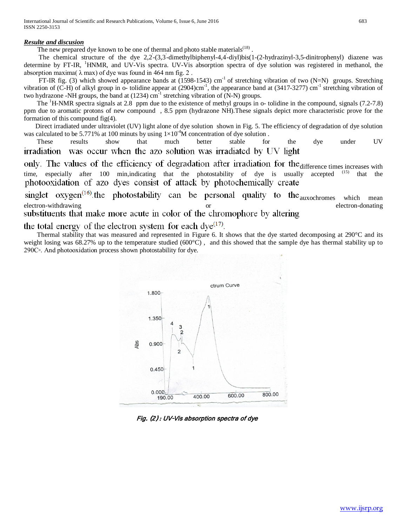International Journal of Scientific and Research Publications, Volume 6, Issue 6, June 2016 683 ISSN 2250-3153

#### *Resulte and discusion*

The new prepared dye known to be one of thermal and photo stable materials<sup> $(18)$ </sup>

The chemical structure of the dye 2,2-(3,3-dimethylbiphenyl-4,4-diyl)bis(1-(2-hydrazinyl-3,5-dinitrophenyl) diazene was determine by FT-IR, <sup>1</sup>HNMR, and UV-Vis spectra. UV-Vis absorption spectra of dye solution was registered in methanol, the absorption maxima( $\lambda$  max) of dye was found in 464 nm fig. 2.

FT-IR fig. (3) which showed appearance bands at  $(1598-1543)$  cm<sup>-1</sup> of stretching vibration of two  $(N=N)$  groups. Stretching vibration of (C-H) of alkyl group in  $\sim$  tolidine appear at (2904)cm<sup>-1</sup>, the appearance band at (3417-3277) cm<sup>-1</sup> stretching vibration of two hydrazone -NH groups, the band at (1234) cm<sup>-1</sup> stretching vibration of (N-N) groups.

The <sup>1</sup>H-NMR spectra signals at 2.8 ppm due to the existence of methyl groups in o- tolidine in the compound, signals (7.2-7.8) ppm due to aromatic protons of new compound , 8.5 ppm (hydrazone NH).These signals depict more characteristic prove for the formation of this compound fig(4).

 Direct irradiated under ultraviolet (UV) light alone of dye solution shown in Fig. 5. The efficiency of degradation of dye solution was calculated to be 5.771% at 100 minuts by using  $1 \times 10^{-4}$ M concentration of dye solution.

 These results show that much better stable for the dye under UV irradiation was occur when the azo solution was irradiated by UV light

only. The values of the efficiency of degradation after irradiation for the difference times increases with time time, especially after 100 min,indicating that the photostability of dye is usually accepted (15) that the photooxidation of azo dyes consist of attack by photochemically create

singlet  $oxygen^{(16)}$ . the photostability can be personal quality to the  $auxochromes$  which mean electron-withdrawing or electron-withdrawing<br>substituents that make more acute in color of the chromophore by altering

the total energy of the electron system for each  $\text{dye}^{(17)}$ .<br>Thermal stability that was measured and represented in Figure 6. It shows that the dye started decomposing at 290°C and its weight losing was 68.27% up to the temperature studied (600°C), and this showed that the sample dye has thermal stability up to 290C◦. And photooxidation process shown photostability for dye.



Fig. (2) : UV-Vis absorption spectra of dye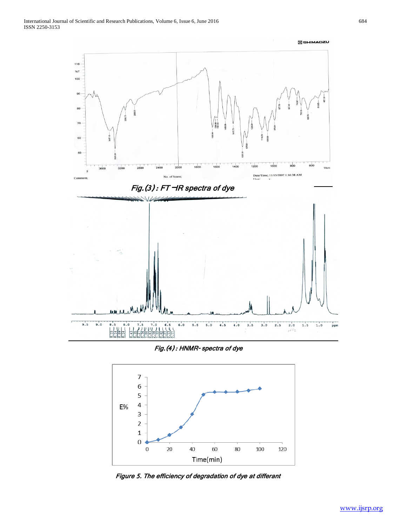

Fig.(4) : HNMR- spectra of dye



Figure 5. The efficiency of degradation of dye at differant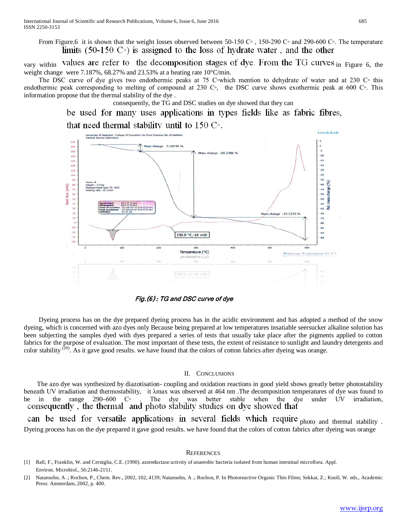From Figure.6 it is shown that the weight losses observed between 50-150 C∘, 150-290 C∘ and 290-600 C∘. The temperature limits (50-150  $\degree$ ) is assigned to the loss of hydrate water, and the other

vary within values are refer to the decomposition stages of dye. From the TG curves in Figure 6, the weight change were 7.187%, 68.27% and 23.53% at a heating rate 10°C/min.

The DSC curve of dye gives two endothermic peaks at 75 C∘which mention to dehydrate of water and at 230 C∘ this endothermic peak corresponding to melting of compound at 230 C◦, the DSC curve shows exothermic peak at 600 C◦. This information propose that the thermal stability of the dye .

consequently, the TG and DSC studies on dye showed that they can

be used for many uses applications in types fields like as fabric fibres,

that need thermal stability until to 150  $\mathrm{C}_{\mathrm{2}}$ . Of Education For Pura Sciences the Al-Ha 170



Fig.(6) : TG and DSC curve of dye

 Dyeing process has on the dye prepared dyeing process has in the acidic environment and has adopted a method of the snow dyeing, which is concerned with azo dyes only Because being prepared at low temperatures insatiable seersucker alkaline solution has been subjecting the samples dyed with dyes prepared a series of tests that usually take place after the pigments applied to cotton fabrics for the purpose of evaluation. The most important of these tests, the extent of resistance to sunlight and laundry detergents and color stability  $^{(20)}$ . As it gave good results. we have found that the colors of cotton fabrics after dyeing was orange.

#### II. CONCLUSIONS

 The azo dye was synthesized by diazotisation- coupling and oxidation reactions in good yield shows greatly better photostability beneath UV irradiation and thermostability, it  $\lambda$ max was observed at 464 nm. The decomposition temperatures of dye was found to be in the range 290–600 C°. The dye was better stable when the dye under UV irradiation. be in the range 290–600 C◦. The dye was better stable when the dye under UV irradiation, consequently, the thermal and photo stability studies on dye showed that

can be used for versatile applications in several fields which require photo and thermal stability. Dyeing process has on the dye prepared it gave good results. we have found that the colors of cotton fabrics after dyeing was orange

#### **REFERENCES**

**IINSEIS** 

<sup>[1]</sup> Rafi, F., Franklin, W. and Cerniglia, C.E. (1990). azoreductase activity of anaerobic bacteria isolated from human intestinal microflora. Appl. Environ. Microbiol., 56:2146-2151.

<sup>[2]</sup> Natansohn, A .; Rochon, P., Chem. Rev., 2002, 102, 4139; Natansohn, A .; Rochon, P. In Photoreactive Organic Thin Films; Sekkat, Z.; Knoll, W. eds., Academic Press: Amsterdam, 2002, p. 400.